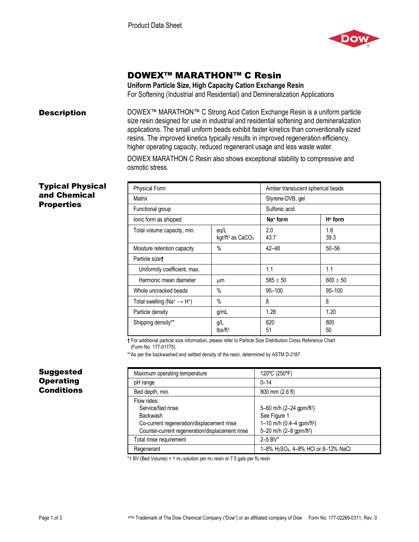

# DOWEX™ MARATHON™ C Resin

**Uniform Particle Size, High Capacity Cation Exchange Resin**  For Softening (Industrial and Residential) and Demineralization Applications

**Description** DOWEX<sup>™</sup> MARATHON<sup>™</sup> C Strong Acid Cation Exchange Resin is a uniform particle size resin designed for use in industrial and residential softening and demineralization applications. The small uniform beads exhibit faster kinetics than conventionally sized resins. The improved kinetics typically results in improved regeneration efficiency, higher operating capacity, reduced regenerant usage and less waste water.

> DOWEX MARATHON C Resin also shows exceptional stability to compressive and osmotic stress.

### Typical Physical and Chemical **Properties**

| Physical Form                                                  |                                        | Amber translucent spherical beads |              |
|----------------------------------------------------------------|----------------------------------------|-----------------------------------|--------------|
| Matrix                                                         |                                        | Styrene-DVB, gel                  |              |
| Functional group                                               |                                        | Sulfonic acid                     |              |
| lonic form as shipped                                          |                                        | Na <sup>+</sup> form              | $H+$ form    |
| Total volume capacity, min.                                    | eq/L<br>kgr/ft <sup>3</sup> as $CaCO3$ | 2.0<br>43.7                       | 1.8<br>39.3  |
| Moisture retention capacity                                    | $\%$                                   | $42 - 48$                         | $50 - 56$    |
| Particle size <sup>†</sup>                                     |                                        |                                   |              |
| Uniformity coefficient, max.                                   |                                        | 1.1                               | 1.1          |
| Harmonic mean diameter                                         | μm                                     | $585 \pm 50$                      | $600 \pm 50$ |
| Whole uncracked beads                                          | $\%$                                   | $95 - 100$                        | $95 - 100$   |
| Total swelling (Na <sup>+</sup> $\rightarrow$ H <sup>+</sup> ) | $\%$                                   | 8                                 | 8            |
| Particle density                                               | g/mL                                   | 1.28                              | 1.20         |
| Shipping density**                                             | g/L<br>lbs/ft <sup>3</sup>             | 820<br>51                         | 800<br>50    |

**†** For additional particle size information, please refer to Particle Size Distribution Cross Reference Chart (Form No. 177-01775).

\*\*As per the backwashed and settled density of the resin, determined by ASTM D-2187

| Maximum operating temperature                                                                                                                         | 120°C (250°F)                                                                                                                        |
|-------------------------------------------------------------------------------------------------------------------------------------------------------|--------------------------------------------------------------------------------------------------------------------------------------|
| pH range                                                                                                                                              | $0 - 14$                                                                                                                             |
| Bed depth, min.                                                                                                                                       | 800 mm (2.6 ft)                                                                                                                      |
| Flow rates:<br>Service/fast rinse<br><b>Backwash</b><br>Co-current regeneration/displacement rinse<br>Counter-current regeneration/displacement rinse | 5-60 m/h (2-24 gpm/ft <sup>2</sup> )<br>See Figure 1<br>1-10 m/h (0.4-4 gpm/ft <sup>2</sup> )<br>5-20 m/h (2-8 gpm/ft <sup>2</sup> ) |
| Total rinse requirement                                                                                                                               | $2 - 5$ BV*                                                                                                                          |
| Regenerant                                                                                                                                            | 1-8% H <sub>2</sub> SO <sub>4</sub> , 4-8% HCI or 8-12% NaCl                                                                         |

\*1 BV (Bed Volume) = 1 m<sub>3</sub> solution per m<sub>3</sub> resin or 7.5 gals per ft<sub>3</sub> resin

## Suggested **Operating Conditions**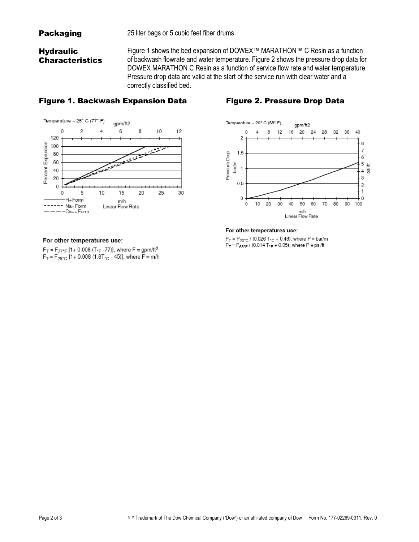## **Hydraulic Characteristics**

Figure 1 shows the bed expansion of DOWEX™ MARATHON™ C Resin as a function of backwash flowrate and water temperature. Figure 2 shows the pressure drop data for DOWEX MARATHON C Resin as a function of service flow rate and water temperature. Pressure drop data are valid at the start of the service run with clear water and a correctly classified bed.

## Figure 1. Backwash Expansion Data Figure 2. Pressure Drop Data



### For other temperatures use:

 $F_T = F_{77^{\circ}F}$  [1+ 0.008 (T<sub>°F</sub> -77)], where  $F \equiv$  gpm/ft<sup>2</sup>  $F_T = F_{25\degree C}$  [1+ 0.008 (1.8T $_{\degree C}$  - 45)], where F = m/h



#### For other temperatures use:

 $P_T = P_{20\degree C}$  / (0.026 T<sub> $\degree C$ </sub> + 0.48), where P  $\equiv$  bar/m  $P_T = P_{68^\circ F} / (0.014 T_{F} + 0.05)$ , where  $P = \text{psi/ft}$